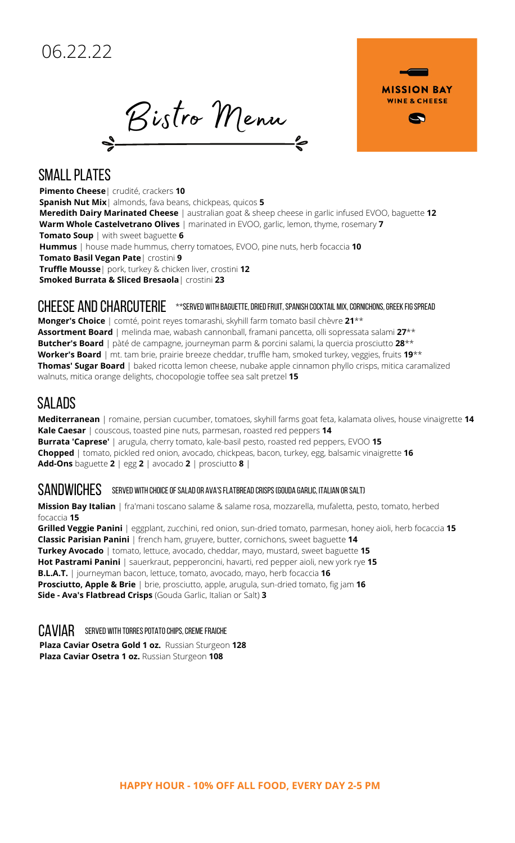Bistro Menu



#### **SMALL PLATES**

**Pimento Cheese**| crudité, crackers **10 Spanish Nut Mix**| almonds, fava beans, chickpeas, quicos **5 Meredith Dairy Marinated Cheese** | australian goat & sheep cheese in garlic infused EVOO, baguette **12 Warm Whole Castelvetrano Olives** | marinated in EVOO, garlic, lemon, thyme, rosemary **7 Tomato Soup** | with sweet baguette **6 Hummus** | house made hummus, cherry tomatoes, EVOO, pine nuts, herb focaccia **10 Tomato Basil Vegan Pate**| crostini **9 Truffle Mousse**| pork, turkey & chicken liver, crostini **12 Smoked Burrata & Sliced Bresaola**| crostini **23**

## $\mathsf{CHEESE}$  and  $\mathsf{CHARCHE}\quad$  \*\*served with baguette, dried fruit, spanish cocktail mix, cornichons, greek fig spread

**Monger's Choice** | comté, point reyes tomarashi, skyhill farm tomato basil chèvre **21**\*\* **Assortment Board** | melinda mae, wabash cannonball, framani pancetta, olli sopressata salami **27**\*\* **Butcher's Board** | pàté de campagne, journeyman parm & porcini salami, la quercia prosciutto **28**\*\* **Worker's Board** | mt. tam brie, prairie breeze cheddar, truffle ham, smoked turkey, veggies, fruits **19**\*\* **Thomas' Sugar Board** | baked ricotta lemon cheese, nubake apple cinnamon phyllo crisps, mitica caramalized walnuts, mitica orange delights, chocopologie toffee sea salt pretzel **15**

# SALADS

**Mediterranean** | romaine, persian cucumber, tomatoes, skyhill farms goat feta, kalamata olives, house vinaigrette **14 Kale Caesar** | couscous, toasted pine nuts, parmesan, roasted red peppers **14 Burrata 'Caprese'** | arugula, cherry tomato, kale-basil pesto, roasted red peppers, EVOO **15 Chopped** | tomato, pickled red onion, avocado, chickpeas, bacon, turkey, egg, balsamic vinaigrette **16 Add-Ons** baguette **2** | egg **2** | avocado **2** | prosciutto **8** |

## $\mathsf{SANDWICHES}\quad$  served with choice of salad or ava's flatbread crisps (gouda Garlic, Italian or Salt)

**Mission Bay Italian** | fra'mani toscano salame & salame rosa, mozzarella, mufaletta, pesto, tomato, herbed focaccia **15**

**Grilled Veggie Panini** | eggplant, zucchini, red onion, sun-dried tomato, parmesan, honey aioli, herb focaccia **15 Classic Parisian Panini** | french ham, gruyere, butter, cornichons, sweet baguette **14 Turkey Avocado** | tomato, lettuce, avocado, cheddar, mayo, mustard, sweet baguette **15 Hot Pastrami Panini** | sauerkraut, pepperoncini, havarti, red pepper aioli, new york rye **15 B.L.A.T.** | journeyman bacon, lettuce, tomato, avocado, mayo, herb focaccia **16 Prosciutto, Apple & Brie** | brie, prosciutto, apple, arugula, sun-dried tomato, fig jam **16 Side - Ava's Flatbread Crisps** (Gouda Garlic, Italian or Salt) **3**

# $CAV IAR$  served with torres potato chips, creme fraiche

**Plaza Caviar Osetra Gold 1 oz.** Russian Sturgeon **128 Plaza Caviar Osetra 1 oz.** Russian Sturgeon **108**